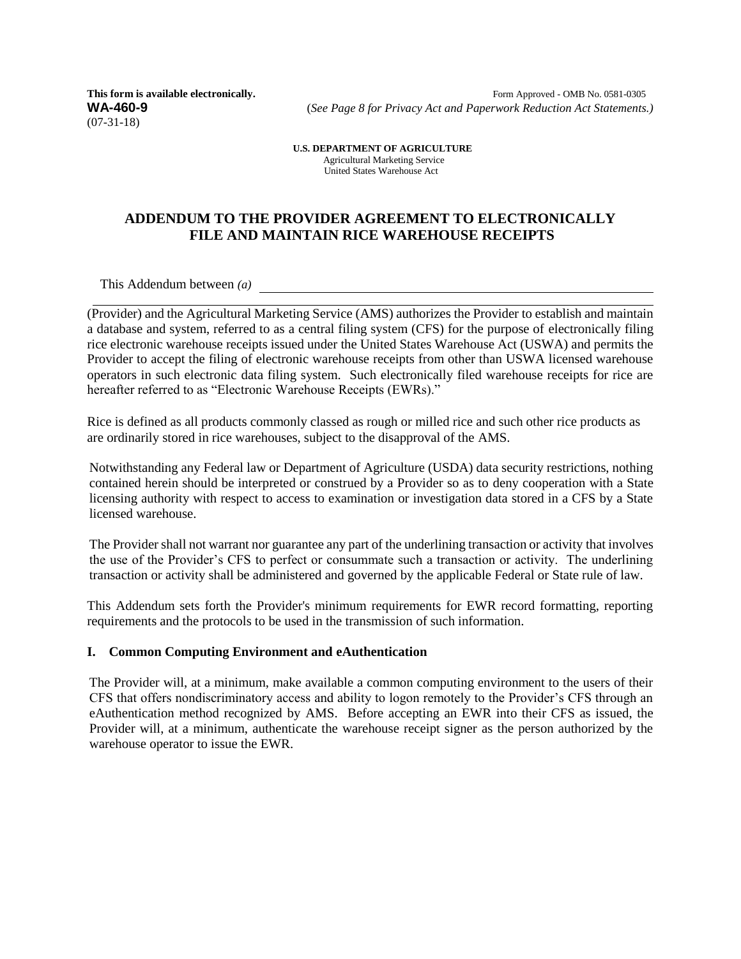(07-31-18)

**This form is available electronically. Form Approved - OMB No. 0581-0305 WA-460-9** (*See Page 8 for Privacy Act and Paperwork Reduction Act Statements.)*

> **U.S. DEPARTMENT OF AGRICULTURE** Agricultural Marketing Service United States Warehouse Act

## **ADDENDUM TO THE PROVIDER AGREEMENT TO ELECTRONICALLY FILE AND MAINTAIN RICE WAREHOUSE RECEIPTS**

This Addendum between *(a)*

(Provider) and the Agricultural Marketing Service (AMS) authorizes the Provider to establish and maintain a database and system, referred to as a central filing system (CFS) for the purpose of electronically filing rice electronic warehouse receipts issued under the United States Warehouse Act (USWA) and permits the Provider to accept the filing of electronic warehouse receipts from other than USWA licensed warehouse operators in such electronic data filing system. Such electronically filed warehouse receipts for rice are hereafter referred to as "Electronic Warehouse Receipts (EWRs)."

Rice is defined as all products commonly classed as rough or milled rice and such other rice products as are ordinarily stored in rice warehouses, subject to the disapproval of the AMS.

Notwithstanding any Federal law or Department of Agriculture (USDA) data security restrictions, nothing contained herein should be interpreted or construed by a Provider so as to deny cooperation with a State licensing authority with respect to access to examination or investigation data stored in a CFS by a State licensed warehouse.

The Provider shall not warrant nor guarantee any part of the underlining transaction or activity that involves the use of the Provider's CFS to perfect or consummate such a transaction or activity. The underlining transaction or activity shall be administered and governed by the applicable Federal or State rule of law.

This Addendum sets forth the Provider's minimum requirements for EWR record formatting, reporting requirements and the protocols to be used in the transmission of such information.

#### **I. Common Computing Environment and eAuthentication**

The Provider will, at a minimum, make available a common computing environment to the users of their CFS that offers nondiscriminatory access and ability to logon remotely to the Provider's CFS through an eAuthentication method recognized by AMS. Before accepting an EWR into their CFS as issued, the Provider will, at a minimum, authenticate the warehouse receipt signer as the person authorized by the warehouse operator to issue the EWR.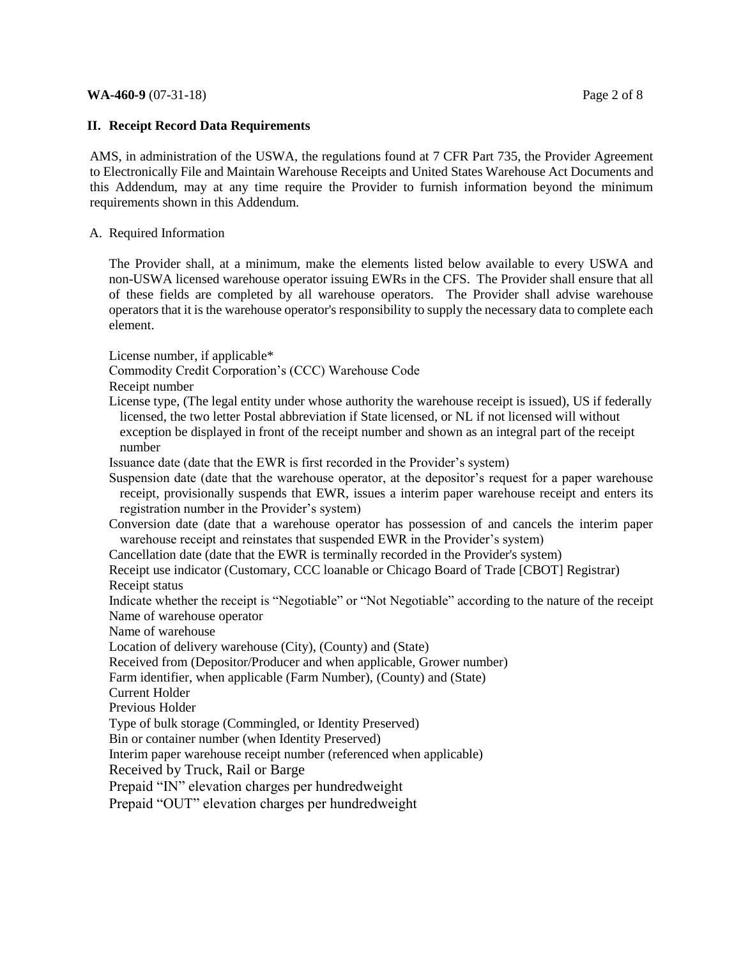#### **WA-460-9** (07-31-18) Page 2 of 8

### **II. Receipt Record Data Requirements**

AMS, in administration of the USWA, the regulations found at 7 CFR Part 735, the Provider Agreement to Electronically File and Maintain Warehouse Receipts and United States Warehouse Act Documents and this Addendum, may at any time require the Provider to furnish information beyond the minimum requirements shown in this Addendum.

## A. Required Information

The Provider shall, at a minimum, make the elements listed below available to every USWA and non-USWA licensed warehouse operator issuing EWRs in the CFS. The Provider shall ensure that all of these fields are completed by all warehouse operators. The Provider shall advise warehouse operators that it is the warehouse operator's responsibility to supply the necessary data to complete each element.

License number, if applicable\*

Commodity Credit Corporation's (CCC) Warehouse Code

Receipt number

License type, (The legal entity under whose authority the warehouse receipt is issued), US if federally licensed, the two letter Postal abbreviation if State licensed, or NL if not licensed will without exception be displayed in front of the receipt number and shown as an integral part of the receipt number

Issuance date (date that the EWR is first recorded in the Provider's system)

Suspension date (date that the warehouse operator, at the depositor's request for a paper warehouse receipt, provisionally suspends that EWR, issues a interim paper warehouse receipt and enters its registration number in the Provider's system)

Conversion date (date that a warehouse operator has possession of and cancels the interim paper warehouse receipt and reinstates that suspended EWR in the Provider's system)

Cancellation date (date that the EWR is terminally recorded in the Provider's system)

Receipt use indicator (Customary, CCC loanable or Chicago Board of Trade [CBOT] Registrar) Receipt status

Indicate whether the receipt is "Negotiable" or "Not Negotiable" according to the nature of the receipt Name of warehouse operator

Name of warehouse

Location of delivery warehouse (City), (County) and (State)

Received from (Depositor/Producer and when applicable, Grower number)

Farm identifier, when applicable (Farm Number), (County) and (State)

Current Holder

Previous Holder

Type of bulk storage (Commingled, or Identity Preserved)

Bin or container number (when Identity Preserved)

Interim paper warehouse receipt number (referenced when applicable)

Received by Truck, Rail or Barge

Prepaid "IN" elevation charges per hundredweight

Prepaid "OUT" elevation charges per hundredweight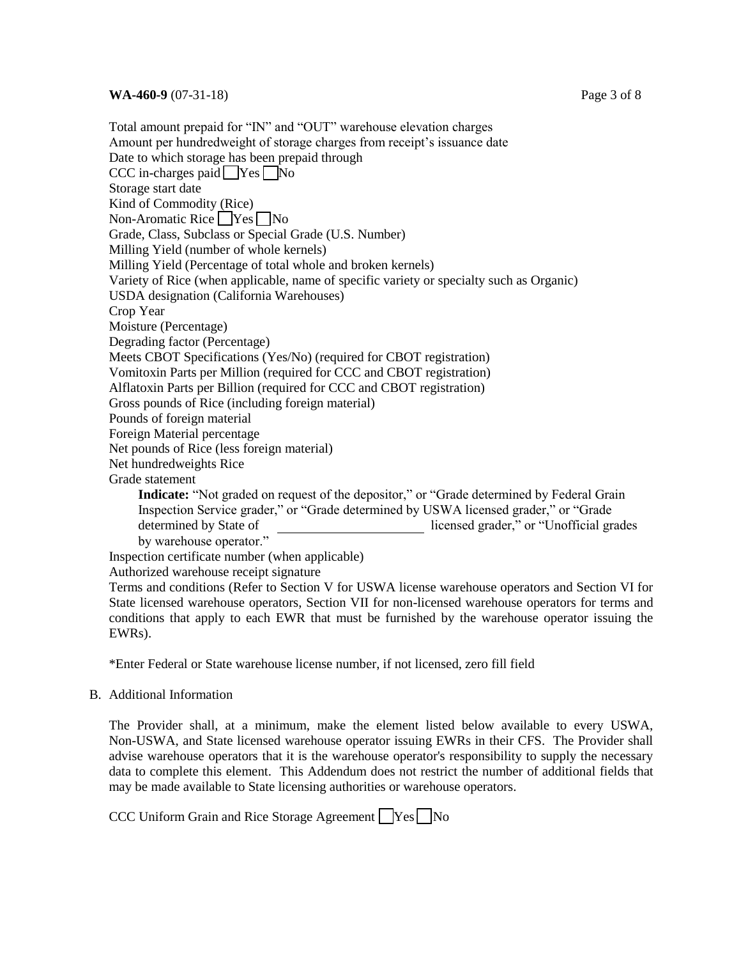Total amount prepaid for "IN" and "OUT" warehouse elevation charges Amount per hundredweight of storage charges from receipt's issuance date Date to which storage has been prepaid through CCC in-charges paid Yes No Storage start date Kind of Commodity (Rice) Non-Aromatic Rice  $\Box$  Yes  $\Box$  No Grade, Class, Subclass or Special Grade (U.S. Number) Milling Yield (number of whole kernels) Milling Yield (Percentage of total whole and broken kernels) Variety of Rice (when applicable, name of specific variety or specialty such as Organic) USDA designation (California Warehouses) Crop Year Moisture (Percentage) Degrading factor (Percentage) Meets CBOT Specifications (Yes/No) (required for CBOT registration) Vomitoxin Parts per Million (required for CCC and CBOT registration) Alflatoxin Parts per Billion (required for CCC and CBOT registration) Gross pounds of Rice (including foreign material) Pounds of foreign material Foreign Material percentage Net pounds of Rice (less foreign material) Net hundredweights Rice Grade statement **Indicate:** "Not graded on request of the depositor," or "Grade determined by Federal Grain Inspection Service grader," or "Grade determined by USWA licensed grader," or "Grade determined by State of licensed grader," or "Unofficial grades by warehouse operator." Inspection certificate number (when applicable) Authorized warehouse receipt signature

Terms and conditions (Refer to Section V for USWA license warehouse operators and Section VI for State licensed warehouse operators, Section VII for non-licensed warehouse operators for terms and conditions that apply to each EWR that must be furnished by the warehouse operator issuing the EWRs).

\*Enter Federal or State warehouse license number, if not licensed, zero fill field

#### B. Additional Information

The Provider shall, at a minimum, make the element listed below available to every USWA, Non-USWA, and State licensed warehouse operator issuing EWRs in their CFS. The Provider shall advise warehouse operators that it is the warehouse operator's responsibility to supply the necessary data to complete this element. This Addendum does not restrict the number of additional fields that may be made available to State licensing authorities or warehouse operators.

CCC Uniform Grain and Rice Storage Agreement  $\Box$  Yes  $\Box$  No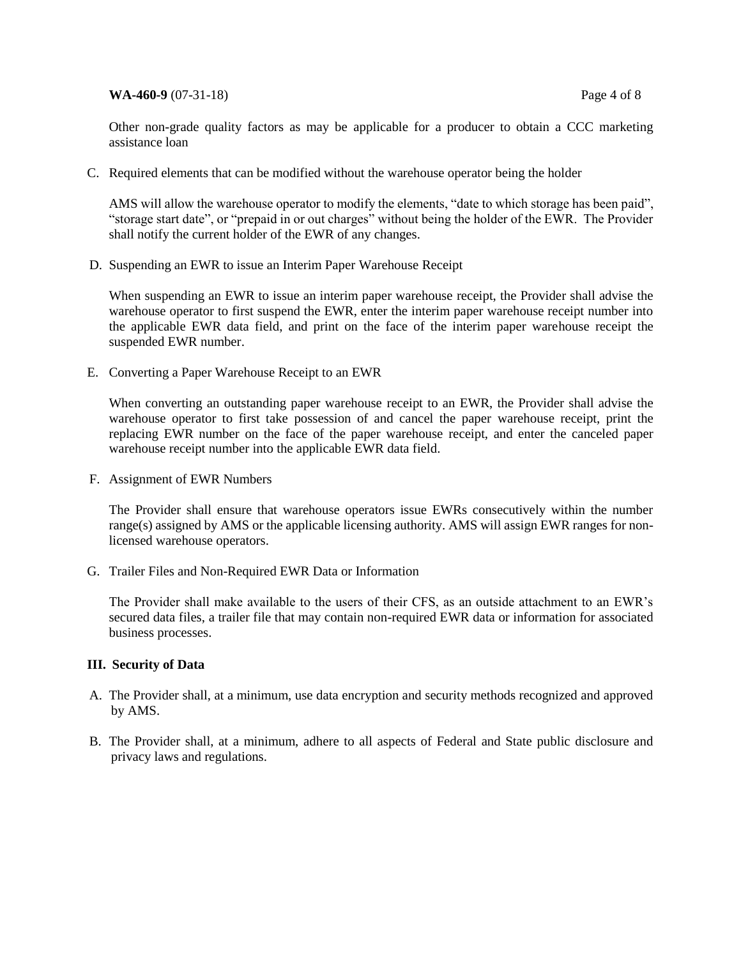**WA-460-9** (07-31-18) Page 4 of 8

Other non-grade quality factors as may be applicable for a producer to obtain a CCC marketing assistance loan

C. Required elements that can be modified without the warehouse operator being the holder

AMS will allow the warehouse operator to modify the elements, "date to which storage has been paid", "storage start date", or "prepaid in or out charges" without being the holder of the EWR. The Provider shall notify the current holder of the EWR of any changes.

D. Suspending an EWR to issue an Interim Paper Warehouse Receipt

When suspending an EWR to issue an interim paper warehouse receipt, the Provider shall advise the warehouse operator to first suspend the EWR, enter the interim paper warehouse receipt number into the applicable EWR data field, and print on the face of the interim paper warehouse receipt the suspended EWR number.

E. Converting a Paper Warehouse Receipt to an EWR

When converting an outstanding paper warehouse receipt to an EWR, the Provider shall advise the warehouse operator to first take possession of and cancel the paper warehouse receipt, print the replacing EWR number on the face of the paper warehouse receipt, and enter the canceled paper warehouse receipt number into the applicable EWR data field.

F. Assignment of EWR Numbers

The Provider shall ensure that warehouse operators issue EWRs consecutively within the number range(s) assigned by AMS or the applicable licensing authority. AMS will assign EWR ranges for nonlicensed warehouse operators.

G. Trailer Files and Non-Required EWR Data or Information

The Provider shall make available to the users of their CFS, as an outside attachment to an EWR's secured data files, a trailer file that may contain non-required EWR data or information for associated business processes.

## **III. Security of Data**

- A. The Provider shall, at a minimum, use data encryption and security methods recognized and approved by AMS.
- B. The Provider shall, at a minimum, adhere to all aspects of Federal and State public disclosure and privacy laws and regulations.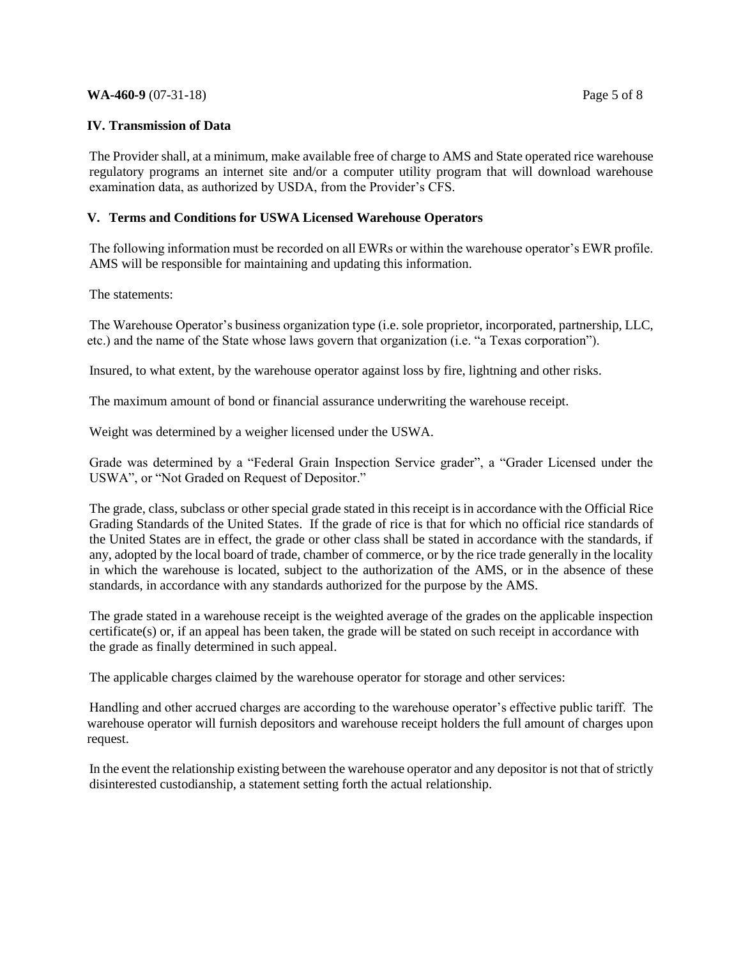#### **WA-460-9** (07-31-18) Page 5 of 8

## **IV. Transmission of Data**

The Provider shall, at a minimum, make available free of charge to AMS and State operated rice warehouse regulatory programs an internet site and/or a computer utility program that will download warehouse examination data, as authorized by USDA, from the Provider's CFS.

## **V. Terms and Conditions for USWA Licensed Warehouse Operators**

The following information must be recorded on all EWRs or within the warehouse operator's EWR profile. AMS will be responsible for maintaining and updating this information.

The statements:

The Warehouse Operator's business organization type (i.e. sole proprietor, incorporated, partnership, LLC, etc.) and the name of the State whose laws govern that organization (i.e. "a Texas corporation").

Insured, to what extent, by the warehouse operator against loss by fire, lightning and other risks.

The maximum amount of bond or financial assurance underwriting the warehouse receipt.

Weight was determined by a weigher licensed under the USWA.

Grade was determined by a "Federal Grain Inspection Service grader", a "Grader Licensed under the USWA", or "Not Graded on Request of Depositor."

The grade, class, subclass or other special grade stated in this receipt is in accordance with the Official Rice Grading Standards of the United States. If the grade of rice is that for which no official rice standards of the United States are in effect, the grade or other class shall be stated in accordance with the standards, if any, adopted by the local board of trade, chamber of commerce, or by the rice trade generally in the locality in which the warehouse is located, subject to the authorization of the AMS, or in the absence of these standards, in accordance with any standards authorized for the purpose by the AMS.

The grade stated in a warehouse receipt is the weighted average of the grades on the applicable inspection certificate(s) or, if an appeal has been taken, the grade will be stated on such receipt in accordance with the grade as finally determined in such appeal.

The applicable charges claimed by the warehouse operator for storage and other services:

Handling and other accrued charges are according to the warehouse operator's effective public tariff. The warehouse operator will furnish depositors and warehouse receipt holders the full amount of charges upon request.

In the event the relationship existing between the warehouse operator and any depositor is not that of strictly disinterested custodianship, a statement setting forth the actual relationship.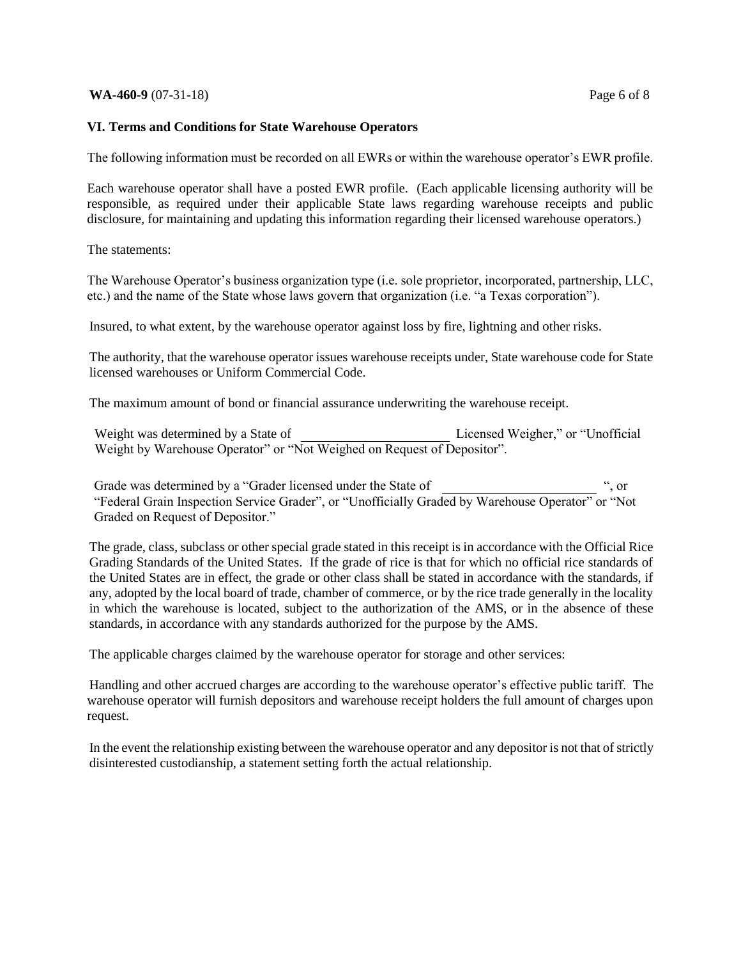#### **WA-460-9** (07-31-18) Page 6 of 8

### **VI. Terms and Conditions for State Warehouse Operators**

The following information must be recorded on all EWRs or within the warehouse operator's EWR profile.

Each warehouse operator shall have a posted EWR profile. (Each applicable licensing authority will be responsible, as required under their applicable State laws regarding warehouse receipts and public disclosure, for maintaining and updating this information regarding their licensed warehouse operators.)

The statements:

The Warehouse Operator's business organization type (i.e. sole proprietor, incorporated, partnership, LLC, etc.) and the name of the State whose laws govern that organization (i.e. "a Texas corporation").

Insured, to what extent, by the warehouse operator against loss by fire, lightning and other risks.

The authority, that the warehouse operator issues warehouse receipts under, State warehouse code for State licensed warehouses or Uniform Commercial Code.

The maximum amount of bond or financial assurance underwriting the warehouse receipt.

Weight was determined by a State of Licensed Weigher," or "Unofficial Weight by Warehouse Operator" or "Not Weighed on Request of Depositor".

Grade was determined by a "Grader licensed under the State of "Federal Grain Inspection Service Grader", or "Unofficially Graded by Warehouse Operator" or "Not Graded on Request of Depositor."

The grade, class, subclass or other special grade stated in this receipt is in accordance with the Official Rice Grading Standards of the United States. If the grade of rice is that for which no official rice standards of the United States are in effect, the grade or other class shall be stated in accordance with the standards, if any, adopted by the local board of trade, chamber of commerce, or by the rice trade generally in the locality in which the warehouse is located, subject to the authorization of the AMS, or in the absence of these standards, in accordance with any standards authorized for the purpose by the AMS.

The applicable charges claimed by the warehouse operator for storage and other services:

Handling and other accrued charges are according to the warehouse operator's effective public tariff. The warehouse operator will furnish depositors and warehouse receipt holders the full amount of charges upon request.

In the event the relationship existing between the warehouse operator and any depositor is not that of strictly disinterested custodianship, a statement setting forth the actual relationship.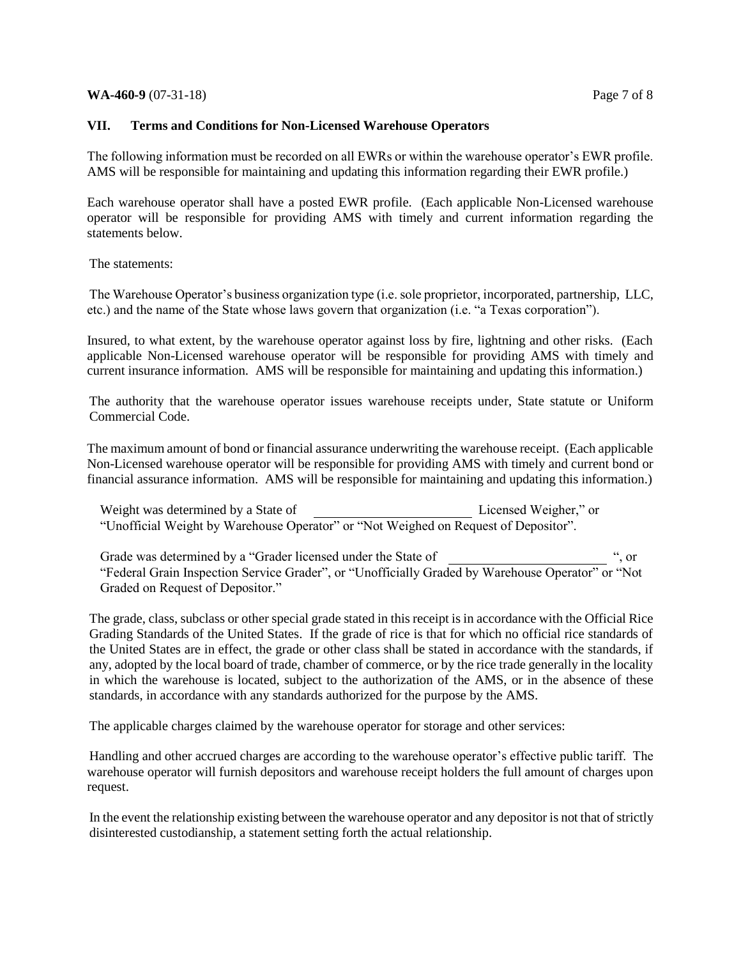#### **WA-460-9** (07-31-18) Page 7 of 8

## **VII. Terms and Conditions for Non-Licensed Warehouse Operators**

The following information must be recorded on all EWRs or within the warehouse operator's EWR profile. AMS will be responsible for maintaining and updating this information regarding their EWR profile.)

Each warehouse operator shall have a posted EWR profile. (Each applicable Non-Licensed warehouse operator will be responsible for providing AMS with timely and current information regarding the statements below.

The statements:

The Warehouse Operator's business organization type (i.e. sole proprietor, incorporated, partnership, LLC, etc.) and the name of the State whose laws govern that organization (i.e. "a Texas corporation").

Insured, to what extent, by the warehouse operator against loss by fire, lightning and other risks. (Each applicable Non-Licensed warehouse operator will be responsible for providing AMS with timely and current insurance information. AMS will be responsible for maintaining and updating this information.)

The authority that the warehouse operator issues warehouse receipts under, State statute or Uniform Commercial Code.

The maximum amount of bond or financial assurance underwriting the warehouse receipt. (Each applicable Non-Licensed warehouse operator will be responsible for providing AMS with timely and current bond or financial assurance information. AMS will be responsible for maintaining and updating this information.)

| Weight was determined by a State of | Licensed Weigher," or                                                               |
|-------------------------------------|-------------------------------------------------------------------------------------|
|                                     | "Unofficial Weight by Warehouse Operator" or "Not Weighed on Request of Depositor". |

Grade was determined by a "Grader licensed under the State of ", or "Federal Grain Inspection Service Grader", or "Unofficially Graded by Warehouse Operator" or "Not Graded on Request of Depositor."

The grade, class, subclass or other special grade stated in this receipt is in accordance with the Official Rice Grading Standards of the United States. If the grade of rice is that for which no official rice standards of the United States are in effect, the grade or other class shall be stated in accordance with the standards, if any, adopted by the local board of trade, chamber of commerce, or by the rice trade generally in the locality in which the warehouse is located, subject to the authorization of the AMS, or in the absence of these standards, in accordance with any standards authorized for the purpose by the AMS.

The applicable charges claimed by the warehouse operator for storage and other services:

Handling and other accrued charges are according to the warehouse operator's effective public tariff. The warehouse operator will furnish depositors and warehouse receipt holders the full amount of charges upon request.

In the event the relationship existing between the warehouse operator and any depositor is not that of strictly disinterested custodianship, a statement setting forth the actual relationship.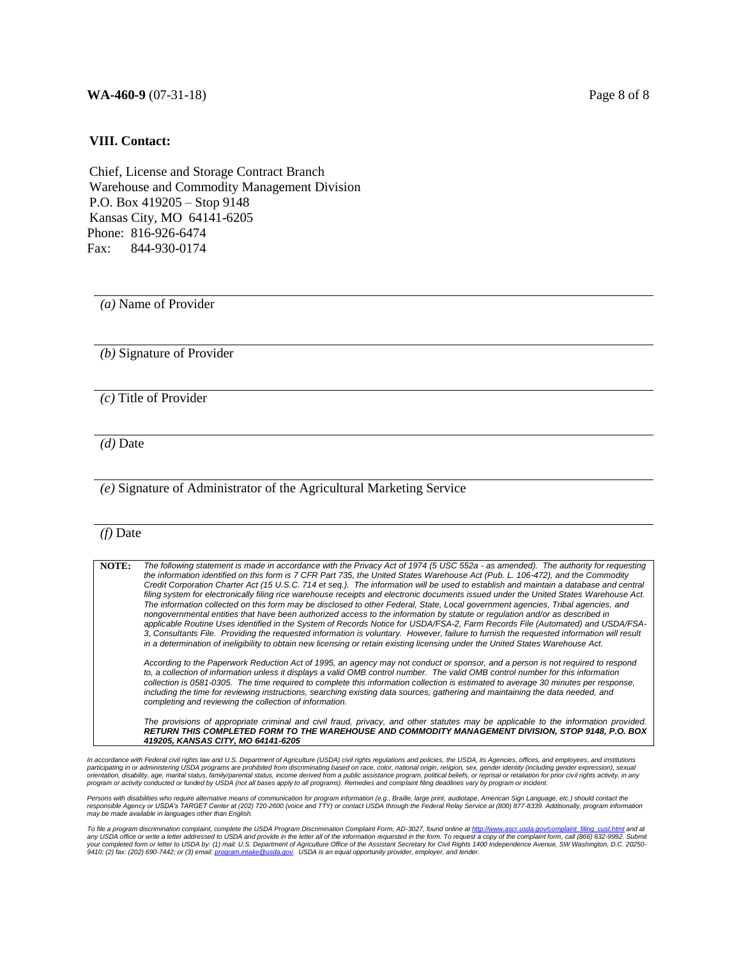#### **WA-460-9** (07-31-18) Page 8 of 8

#### **VIII. Contact:**

Chief, License and Storage Contract Branch Warehouse and Commodity Management Division P.O. Box 419205 – Stop 9148 Kansas City, MO 64141-6205 Phone: 816-926-6474 Fax: 844-930-0174

*(a)* Name of Provider

*(b)* Signature of Provider

*(c)* Title of Provider

*(d)* Date

#### *(e)* Signature of Administrator of the Agricultural Marketing Service

#### *(f)* Date

**NOTE:** *The following statement is made in accordance with the Privacy Act of 1974 (5 USC 552a - as amended). The authority for requesting the information identified on this form is 7 CFR Part 735, the United States Warehouse Act (Pub. L. 106-472), and the Commodity Credit Corporation Charter Act (15 U.S.C. 714 et seq.). The information will be used to establish and maintain a database and central filing system for electronically filing rice warehouse receipts and electronic documents issued under the United States Warehouse Act. The information collected on this form may be disclosed to other Federal, State, Local government agencies, Tribal agencies, and nongovernmental entities that have been authorized access to the information by statute or regulation and/or as described in applicable Routine Uses identified in the System of Records Notice for USDA/FSA-2, Farm Records File (Automated) and USDA/FSA-3, Consultants File. Providing the requested information is voluntary. However, failure to furnish the requested information will result in a determination of ineligibility to obtain new licensing or retain existing licensing under the United States Warehouse Act.*

*According to the Paperwork Reduction Act of 1995, an agency may not conduct or sponsor, and a person is not required to respond to, a collection of information unless it displays a valid OMB control number. The valid OMB control number for this information collection is 0581-0305. The time required to complete this information collection is estimated to average 30 minutes per response, including the time for reviewing instructions, searching existing data sources, gathering and maintaining the data needed, and completing and reviewing the collection of information.*

*The provisions of appropriate criminal and civil fraud, privacy, and other statutes may be applicable to the information provided. RETURN THIS COMPLETED FORM TO THE WAREHOUSE AND COMMODITY MANAGEMENT DIVISION, STOP 9148, P.O. BOX 419205, KANSAS CITY, MO 64141-6205*

In accordance with Federal civil rights law and U.S. Department of Agriculture (USDA) civil rights regulations and policies, the USDA, its Agencies, offices, and employees, and institutions<br>participating in or administerin *program or activity conducted or funded by USDA (not all bases apply to all programs). Remedies and complaint filing deadlines vary by program or incident.* 

Persons with disabilities who require alternative means of communication for program information (e.g., Braille, large print, audiotape, American Sign Language, etc.) should contact the<br>responsible Agency or USDA's TARGET

*To file a program discrimination complaint, complete the USDA Program Discrimination Complaint Form, AD-3027, found online a[t http://www.ascr.usda.gov/complaint\\_filing\\_cust.html](http://www.ascr.usda.gov/complaint_filing_cust.html) and at*  any USDA office or write a letter addressed to USDA and provide in the letter all of the information requested in the form. To request a copy of the complaint form, call (866) 632-9992. Submit<br>your completed form or letter *9410; (2) fax: (202) 690-7442; or (3) email[: program.intake@usda.gov.](mailto:program.intake@usda.gov) USDA is an equal opportunity provider, employer, and lender.*